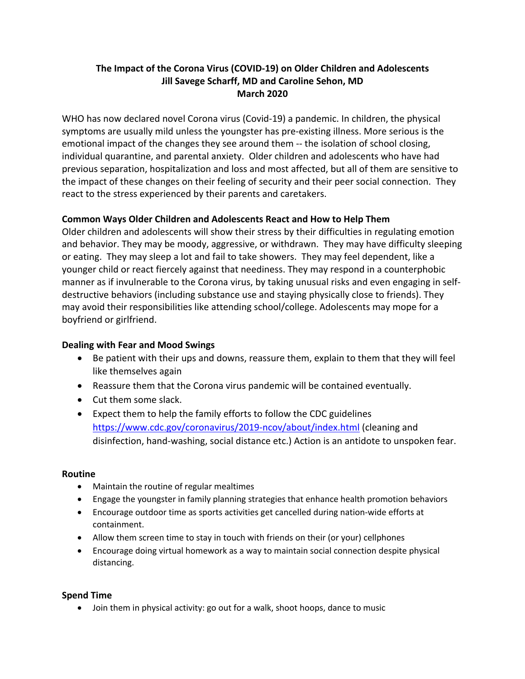# **The Impact of the Corona Virus (COVID-19) on Older Children and Adolescents Jill Savege Scharff, MD and Caroline Sehon, MD March 2020**

WHO has now declared novel Corona virus (Covid-19) a pandemic. In children, the physical symptoms are usually mild unless the youngster has pre-existing illness. More serious is the emotional impact of the changes they see around them -- the isolation of school closing, individual quarantine, and parental anxiety. Older children and adolescents who have had previous separation, hospitalization and loss and most affected, but all of them are sensitive to the impact of these changes on their feeling of security and their peer social connection. They react to the stress experienced by their parents and caretakers.

## **Common Ways Older Children and Adolescents React and How to Help Them**

Older children and adolescents will show their stress by their difficulties in regulating emotion and behavior. They may be moody, aggressive, or withdrawn. They may have difficulty sleeping or eating. They may sleep a lot and fail to take showers. They may feel dependent, like a younger child or react fiercely against that neediness. They may respond in a counterphobic manner as if invulnerable to the Corona virus, by taking unusual risks and even engaging in selfdestructive behaviors (including substance use and staying physically close to friends). They may avoid their responsibilities like attending school/college. Adolescents may mope for a boyfriend or girlfriend.

### **Dealing with Fear and Mood Swings**

- Be patient with their ups and downs, reassure them, explain to them that they will feel like themselves again
- Reassure them that the Corona virus pandemic will be contained eventually.
- Cut them some slack.
- Expect them to help the family efforts to follow the CDC guidelines https://www.cdc.gov/coronavirus/2019-ncov/about/index.html (cleaning and disinfection, hand-washing, social distance etc.) Action is an antidote to unspoken fear.

#### **Routine**

- Maintain the routine of regular mealtimes
- Engage the youngster in family planning strategies that enhance health promotion behaviors
- Encourage outdoor time as sports activities get cancelled during nation-wide efforts at containment.
- Allow them screen time to stay in touch with friends on their (or your) cellphones
- Encourage doing virtual homework as a way to maintain social connection despite physical distancing.

#### **Spend Time**

• Join them in physical activity: go out for a walk, shoot hoops, dance to music